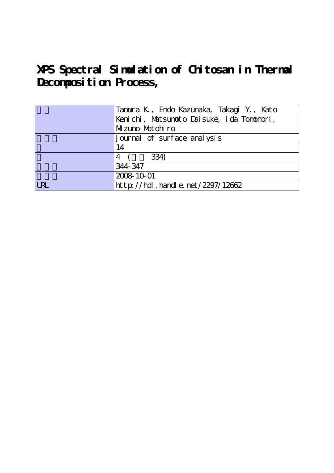**XPS Spectral Simulation of Chitosan in Thermal** Decomposition Process,

| Tamura K , Endo Kazunaka, Takagi Y., Kato |
|-------------------------------------------|
| Kenichi, Matsunoto Daisuke, Ida Tononori, |
| Muzuno Motohiro                           |
| Journal of surface analysis               |
| 14                                        |
| 334)                                      |
| 344-347                                   |
| 2008 10 01                                |
| http://hdl.handle.net/2297/12662          |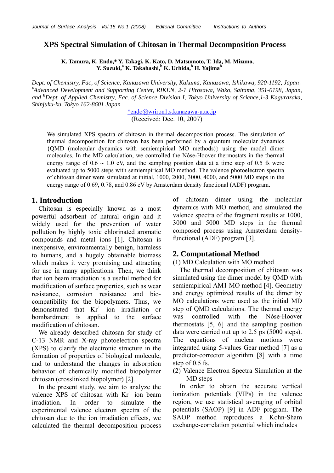## **XPS Spectral Simulation of Chitosan in Thermal Decomposition Process**

**K. Tamura, K. Endo,\* Y. Takagi, K. Kato, D. Matsumoto, T. Ida, M. Mizuno, Y. Suzuki,** $\mathrm{a}^{\mathrm{a}}$  **<b>K. Takahashi,** $\mathrm{b}^{\mathrm{b}}$  **K. Uchida,** $\mathrm{b}^{\mathrm{b}}$  **H. Yajima** $\mathrm{b}^{\mathrm{b}}$ 

*Dept. of Chemistry, Fac, of Science, Kanazawa University, Kakuma, Kanazawa, Ishikawa, 920-1192, Japan*, **a** *Advanced Development and Supporting Center, RIKEN, 2-1 Hirosawa, Wako, Saitama, 351-0198, Japan, and* **<sup>b</sup>** *Dept. of Applied Chemistry, Fac. of Science Division I, Tokyo University of Science,1-3 Kagurazaka, Shinjuku-ku, Tokyo 162-8601 Japan*

> \*endo@wriron1.s.kanazawa-u.ac.jp (Received: Dec. 10, 2007)

We simulated XPS spectra of chitosan in thermal decomposition process. The simulation of thermal decomposition for chitosan has been performed by a quantum molecular dynamics {QMD (molecular dynamics with semiempirical MO methods)} using the model dimer molecules. In the MD calculation, we controlled the Nóse-Hoover thermostats in the thermal energy range of  $0.6 \sim 1.0$  eV, and the sampling position data at a time step of 0.5 fs were evaluated up to 5000 steps with semiempirical MO method. The valence photoelectron spectra of chitosan dimer were simulated at initial, 1000, 2000, 3000, 4000, and 5000 MD steps in the energy range of 0.69, 0.78, and 0.86 eV by Amsterdam density functional (ADF) program.

### **1. Introduction**

Chitosan is especially known as a most powerful adsorbent of natural origin and it widely used for the prevention of water pollution by highly toxic chlorinated aromatic compounds and metal ions [1]. Chitosan is inexpensive, environmentally benign, harmless to humans, and a hugely obtainable biomass which makes it very promising and attracting for use in many applications. Then, we think that ion beam irradiation is a useful method for modification of surface properties, such as wear resistance, corrosion resistance and biocompatibility for the biopolymers. Thus, we demonstrated that  $Kr^+$  ion irradiation or bombardment is applied to the surface modification of chitosan.

 We already described chitosan for study of C-13 NMR and X-ray photoelectron spectra (XPS) to clarify the electronic structure in the formation of properties of biological molecule, and to understand the changes in adsorption behavior of chemically modified biopolymer chitosan (crosslinked biopolymer) [2].

In the present study, we aim to analyze the valence XPS of chitosan with  $Kr^+$  ion beam irradiation. In order to simulate the experimental valence electron spectra of the chitosan due to the ion irradiation effects, we calculated the thermal decomposition process

of chitosan dimer using the molecular dynamics with MO method, and simulated the valence spectra of the fragment results at 1000, 3000 and 5000 MD steps in the thermal composed process using Amsterdam densityfunctional (ADF) program [3].

### **2. Computational Method**

#### (1) MD Calculation with MO method

 The thermal decomposition of chitosan was simulated using the dimer model by QMD with semiempirical AM1 MO method [4]. Geometry and energy optimized results of the dimer by MO calculations were used as the initial MD step of QMD calculations. The thermal energy was controlled with the Nóse-Hoover thermostats [5, 6] and the sampling position data were carried out up to 2.5 ps (5000 steps). The equations of nuclear motions were integrated using 5-values Gear method [7] as a predictor-corrector algorithm [8] with a time step of 0.5 fs.

(2) Valence Electron Spectra Simulation at the MD steps

In order to obtain the accurate vertical ionization potentials (VIPs) in the valence region, we use statistical averaging of orbital potentials (SAOP) [9] in ADF program. The SAOP method reproduces a Kohn-Sham exchange-correlation potential which includes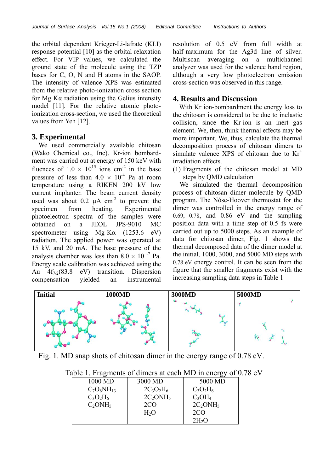the orbital dependent Krieger-Li-lafrate (KLI) response potential [10] as the orbital relaxation effect. For VIP values, we calculated the ground state of the molecule using the TZP bases for C, O, N and H atoms in the SAOP. The intensity of valence XPS was estimated from the relative photo-ionization cross section for Mg Kα radiation using the Gelius intensity model [11]. For the relative atomic photoionization cross-section, we used the theoretical values from Yeh [12].

# **3. Experimental**

 We used commercially available chitosan (Wako Chemical co., Inc). Kr-ion bombardment was carried out at energy of 150 keV with fluences of  $1.0 \times 10^{15}$  ions cm<sup>-2</sup> in the base pressure of less than  $4.0 \times 10^{-4}$  Pa at room temperature using a RIKEN 200 kV low current implanter. The beam current density used was about  $0.2 \mu A \text{ cm}^{-2}$  to prevent the specimen from heating. Experimental photoelectron spectra of the samples were obtained on a JEOL JPS-9010 MC spectrometer using  $Mg-K\alpha$  (1253.6 eV) radiation. The applied power was operated at 15 kV, and 20 mA. The base pressure of the analysis chamber was less than  $8.0 \times 10^{-7}$  Pa. Energy scale calibration was achieved using the Au  $4f_{7/2}(83.8 \text{ eV})$  transition. Dispersion compensation yielded an instrumental

resolution of 0.5 eV from full width at half-maximum for the Ag3d line of silver. Multiscan averaging on a multichannel analyzer was used for the valence band region, although a very low photoelectron emission cross-section was observed in this range.

## **4. Results and Discussion**

 With Kr ion-bombardment the energy loss to the chitosan is considered to be due to inelastic collision, since the Kr-ion is an inert gas element. We, then, think thermal effects may be more important. We, thus, calculate the thermal decomposition process of chitosan dimers to simulate valence XPS of chitosan due to  $Kr^+$ irradiation effects.

(1) Fragments of the chitosan model at MD steps by QMD calculation

We simulated the thermal decomposition process of chitosan dimer molecule by QMD program. The Nóse-Hoover thermostat for the dimer was controlled in the energy range of 0.69, 0.78, and 0.86 eV and the sampling position data with a time step of 0.5 fs were carried out up to 5000 steps. As an example of data for chitosan dimer, Fig. 1 shows the thermal decomposed data of the dimer model at the initial, 1000, 3000, and 5000 MD steps with 0.78 eV energy control. It can be seen from the figure that the smaller fragments exist with the increasing sampling data steps in Table 1



Fig. 1. MD snap shots of chitosan dimer in the energy range of 0.78 eV.

| $\frac{1}{2}$ . The subset of all $\frac{1}{2}$ are saved the model |              |                   |
|---------------------------------------------------------------------|--------------|-------------------|
| 1000 MD                                                             | 3000 MD      | 5000 MD           |
| $C_7O_6NH_{13}$                                                     | $2C_3O_2H_6$ | $C_3O_2H_6$       |
| $C_3O_2H_6$                                                         | $2C_2ONH_5$  | $C_3OH_4$         |
| $C_2ONH_5$                                                          | 2CO          | $2C_2ONH_5$       |
|                                                                     | $H_2O$       | 2CO               |
|                                                                     |              | 2H <sub>2</sub> O |

Table 1. Fragments of dimers at each MD in energy of 0.78 eV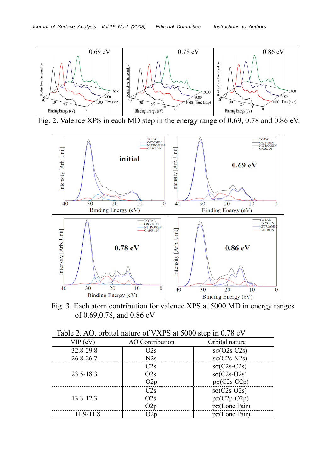

Fig. 2. Valence XPS in each MD step in the energy range of 0.69, 0.78 and 0.86 eV.



Fig. 3. Each atom contribution for valence XPS at 5000 MD in energy ranges of 0.69,0.78, and 0.86 eV

| Table 2. AO, orbital nature of VXPS at 5000 step in 0.78 eV |  |  |
|-------------------------------------------------------------|--|--|
|                                                             |  |  |

| $VIP$ (eV)    | AO Contribution | Orbital nature     |
|---------------|-----------------|--------------------|
| 32.8-29.8     | O2s             | $s\sigma(O2s-C2s)$ |
| 26.8-26.7     | N2s             | $s\sigma(C2s-N2s)$ |
|               | C2s             | $s\sigma(C2s-C2s)$ |
| $23.5 - 18.3$ | O2s             | $s\sigma(C2s-O2s)$ |
|               | O2p             | $p\sigma(C2s-O2p)$ |
|               | C2s             | $s\sigma(C2s-O2s)$ |
| $13.3 - 12.3$ | O2s             | $p\pi$ (C2p-O2p)   |
|               | O2p             | $p\pi$ (Lone Pair) |
| 11.9-11.8     | O2p             | $p\pi$ (Lone Pair) |